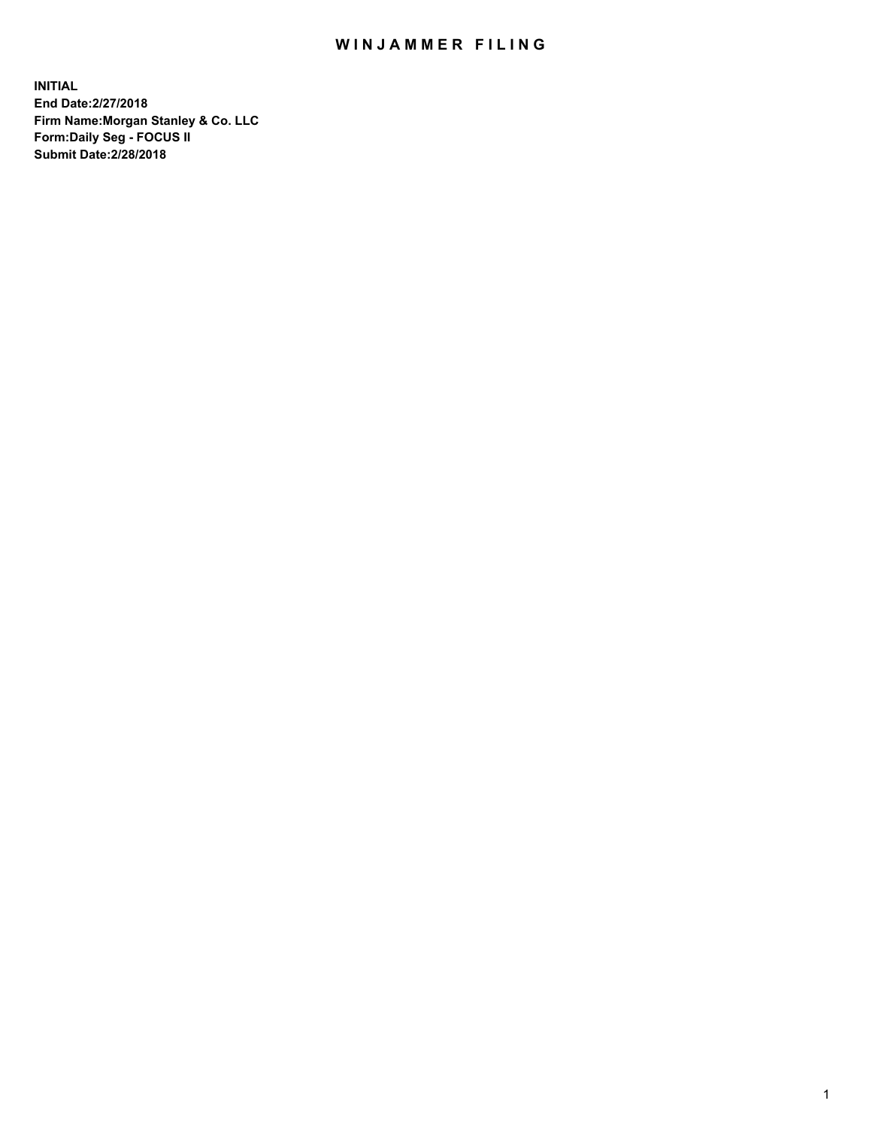## WIN JAMMER FILING

**INITIAL End Date:2/27/2018 Firm Name:Morgan Stanley & Co. LLC Form:Daily Seg - FOCUS II Submit Date:2/28/2018**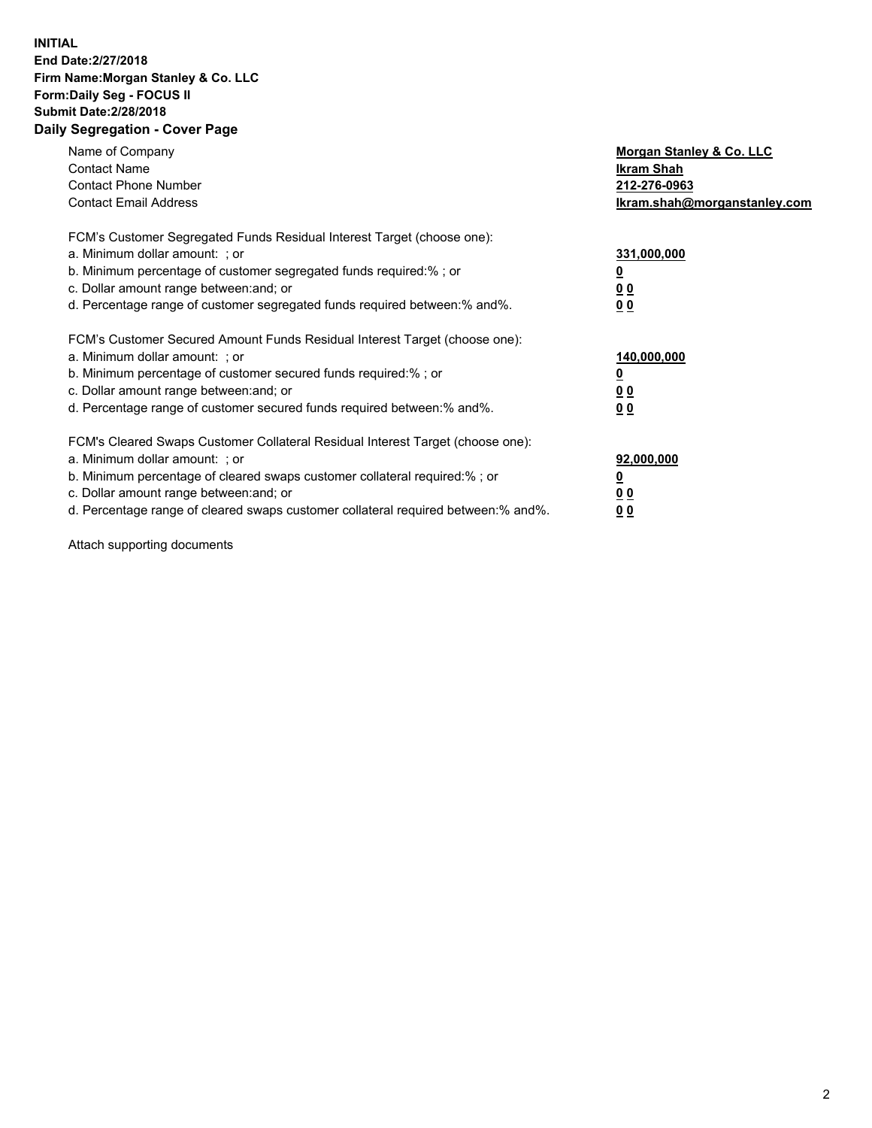## **INITIAL End Date:2/27/2018 Firm Name:Morgan Stanley & Co. LLC Form:Daily Seg - FOCUS II Submit Date:2/28/2018 Daily Segregation - Cover Page**

| Name of Company<br><b>Contact Name</b><br><b>Contact Phone Number</b><br><b>Contact Email Address</b>                                                                                                                                                                                                                          | Morgan Stanley & Co. LLC<br>Ikram Shah<br>212-276-0963<br>lkram.shah@morganstanley.com |
|--------------------------------------------------------------------------------------------------------------------------------------------------------------------------------------------------------------------------------------------------------------------------------------------------------------------------------|----------------------------------------------------------------------------------------|
| FCM's Customer Segregated Funds Residual Interest Target (choose one):<br>a. Minimum dollar amount: ; or<br>b. Minimum percentage of customer segregated funds required:%; or<br>c. Dollar amount range between: and; or<br>d. Percentage range of customer segregated funds required between:% and%.                          | 331,000,000<br><u>0</u><br>0 <sub>0</sub><br>00                                        |
| FCM's Customer Secured Amount Funds Residual Interest Target (choose one):<br>a. Minimum dollar amount: ; or<br>b. Minimum percentage of customer secured funds required:%; or<br>c. Dollar amount range between: and; or<br>d. Percentage range of customer secured funds required between:% and%.                            | 140,000,000<br>0 <sub>0</sub><br>0 <sub>0</sub>                                        |
| FCM's Cleared Swaps Customer Collateral Residual Interest Target (choose one):<br>a. Minimum dollar amount: ; or<br>b. Minimum percentage of cleared swaps customer collateral required:% ; or<br>c. Dollar amount range between: and; or<br>d. Percentage range of cleared swaps customer collateral required between:% and%. | 92,000,000<br>0 <sub>0</sub><br><u>00</u>                                              |

Attach supporting documents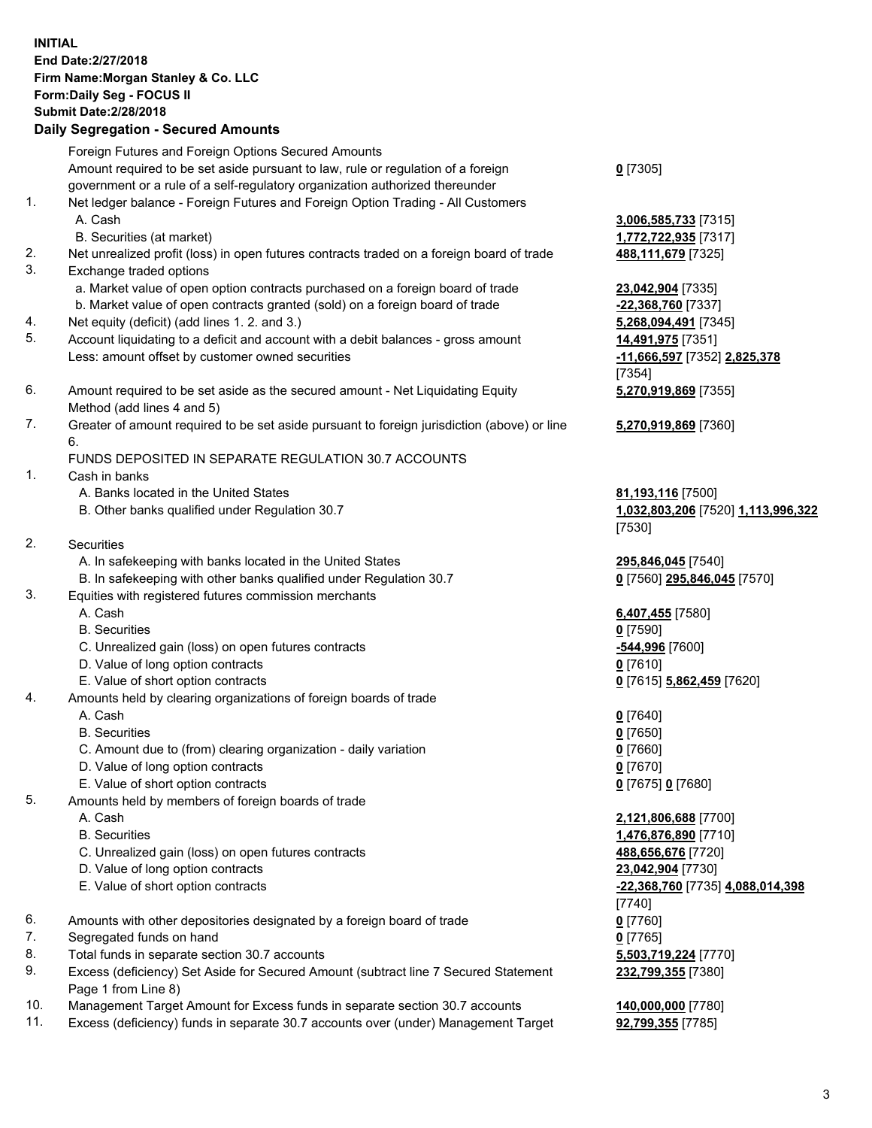## **INITIAL End Date:2/27/2018 Firm Name:Morgan Stanley & Co. LLC Form:Daily Seg - FOCUS II Submit Date:2/28/2018 Daily Segregation - Secured Amounts**

Foreign Futures and Foreign Options Secured Amounts Amount required to be set aside pursuant to law, rule or regulation of a foreign government or a rule of a self-regulatory organization authorized thereunder

- 1. Net ledger balance Foreign Futures and Foreign Option Trading All Customers A. Cash **3,006,585,733** [7315]
	- B. Securities (at market) **1,772,722,935** [7317]
- 2. Net unrealized profit (loss) in open futures contracts traded on a foreign board of trade **488,111,679** [7325]
- 3. Exchange traded options
	- a. Market value of open option contracts purchased on a foreign board of trade **23,042,904** [7335]
	- b. Market value of open contracts granted (sold) on a foreign board of trade **-22,368,760** [7337]
- 4. Net equity (deficit) (add lines 1. 2. and 3.) **5,268,094,491** [7345]
- 5. Account liquidating to a deficit and account with a debit balances gross amount **14,491,975** [7351] Less: amount offset by customer owned securities **-11,666,597** [7352] **2,825,378**
- 6. Amount required to be set aside as the secured amount Net Liquidating Equity Method (add lines 4 and 5)
- 7. Greater of amount required to be set aside pursuant to foreign jurisdiction (above) or line 6.

## FUNDS DEPOSITED IN SEPARATE REGULATION 30.7 ACCOUNTS

- 1. Cash in banks
	- A. Banks located in the United States **81,193,116** [7500]
	- B. Other banks qualified under Regulation 30.7 **1,032,803,206** [7520] **1,113,996,322**
- 2. Securities
	- A. In safekeeping with banks located in the United States **295,846,045** [7540]
	- B. In safekeeping with other banks qualified under Regulation 30.7 **0** [7560] **295,846,045** [7570]
- 3. Equities with registered futures commission merchants
	-
	-
	- C. Unrealized gain (loss) on open futures contracts **-544,996** [7600]
	- D. Value of long option contracts **0** [7610]
- E. Value of short option contracts **0** [7615] **5,862,459** [7620]
- 4. Amounts held by clearing organizations of foreign boards of trade
	-
	-
	- C. Amount due to (from) clearing organization daily variation **0** [7660]
	- D. Value of long option contracts **0** [7670]
	- E. Value of short option contracts **0** [7675] **0** [7680]
- 5. Amounts held by members of foreign boards of trade
	-
	-
	- C. Unrealized gain (loss) on open futures contracts **488,656,676** [7720]
	- D. Value of long option contracts **23,042,904** [7730]
	- E. Value of short option contracts **-22,368,760** [7735] **4,088,014,398**
- 6. Amounts with other depositories designated by a foreign board of trade **0** [7760]
- 7. Segregated funds on hand **0** [7765]
- 8. Total funds in separate section 30.7 accounts **5,503,719,224** [7770]
- 9. Excess (deficiency) Set Aside for Secured Amount (subtract line 7 Secured Statement Page 1 from Line 8)
- 10. Management Target Amount for Excess funds in separate section 30.7 accounts **140,000,000** [7780]
- 11. Excess (deficiency) funds in separate 30.7 accounts over (under) Management Target **92,799,355** [7785]

**0** [7305]

[7354] **5,270,919,869** [7355]

**5,270,919,869** [7360]

[7530]

 A. Cash **6,407,455** [7580] B. Securities **0** [7590]

 A. Cash **0** [7640] B. Securities **0** [7650]

 A. Cash **2,121,806,688** [7700] B. Securities **1,476,876,890** [7710] [7740] **232,799,355** [7380]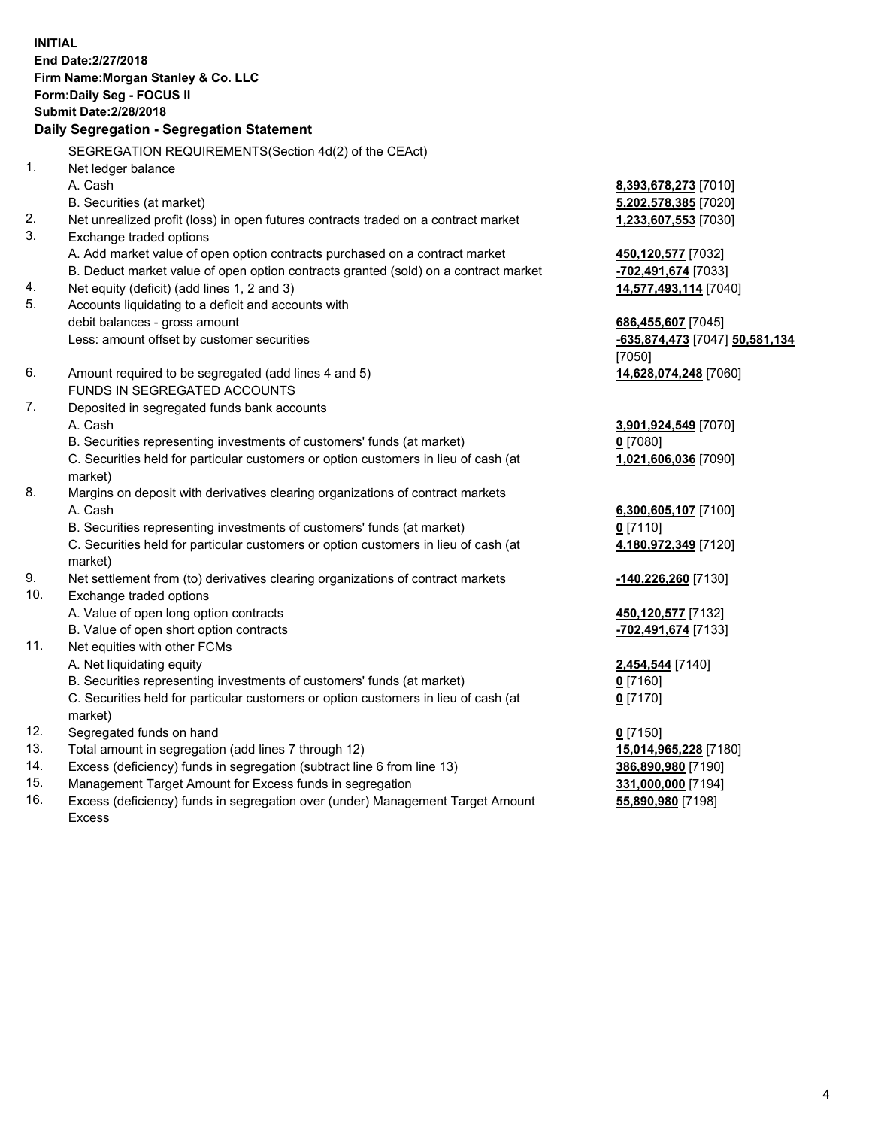**INITIAL End Date:2/27/2018 Firm Name:Morgan Stanley & Co. LLC Form:Daily Seg - FOCUS II Submit Date:2/28/2018 Daily Segregation - Segregation Statement** SEGREGATION REQUIREMENTS(Section 4d(2) of the CEAct) 1. Net ledger balance A. Cash **8,393,678,273** [7010] B. Securities (at market) **5,202,578,385** [7020] 2. Net unrealized profit (loss) in open futures contracts traded on a contract market **1,233,607,553** [7030] 3. Exchange traded options A. Add market value of open option contracts purchased on a contract market **450,120,577** [7032] B. Deduct market value of open option contracts granted (sold) on a contract market **-702,491,674** [7033] 4. Net equity (deficit) (add lines 1, 2 and 3) **14,577,493,114** [7040] 5. Accounts liquidating to a deficit and accounts with debit balances - gross amount **686,455,607** [7045] Less: amount offset by customer securities **and the securities of the securities of the securities of the securities of the securities of the securities of the securities of the securities of the securities of the securiti** [7050] 6. Amount required to be segregated (add lines 4 and 5) **14,628,074,248** [7060] FUNDS IN SEGREGATED ACCOUNTS 7. Deposited in segregated funds bank accounts A. Cash **3,901,924,549** [7070] B. Securities representing investments of customers' funds (at market) **0** [7080] C. Securities held for particular customers or option customers in lieu of cash (at market) **1,021,606,036** [7090] 8. Margins on deposit with derivatives clearing organizations of contract markets A. Cash **6,300,605,107** [7100] B. Securities representing investments of customers' funds (at market) **0** [7110] C. Securities held for particular customers or option customers in lieu of cash (at market) **4,180,972,349** [7120] 9. Net settlement from (to) derivatives clearing organizations of contract markets **-140,226,260** [7130] 10. Exchange traded options A. Value of open long option contracts **450,120,577** [7132] B. Value of open short option contracts **-702,491,674** [7133] 11. Net equities with other FCMs A. Net liquidating equity **2,454,544** [7140] B. Securities representing investments of customers' funds (at market) **0** [7160] C. Securities held for particular customers or option customers in lieu of cash (at market) **0** [7170] 12. Segregated funds on hand **0** [7150] 13. Total amount in segregation (add lines 7 through 12) **15,014,965,228** [7180] 14. Excess (deficiency) funds in segregation (subtract line 6 from line 13) **386,890,980** [7190]

- 15. Management Target Amount for Excess funds in segregation **331,000,000** [7194]
- 16. Excess (deficiency) funds in segregation over (under) Management Target Amount Excess

**55,890,980** [7198]